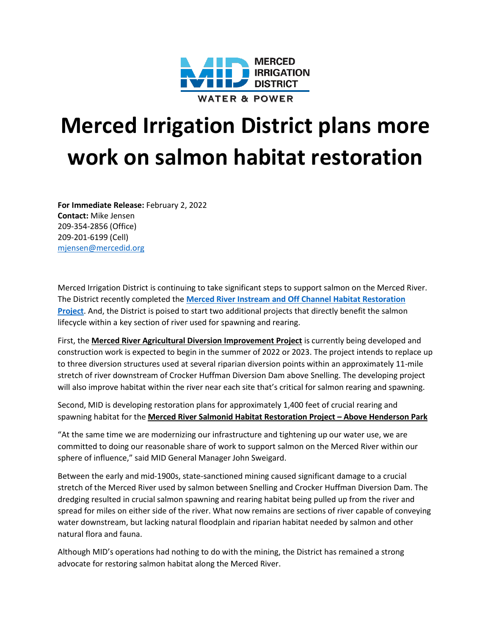

## **Merced Irrigation District plans more work on salmon habitat restoration**

**For Immediate Release:** February 2, 2022 **Contact:** Mike Jensen 209-354-2856 (Office) 209-201-6199 (Cell) [mjensen@mercedid.org](mailto:mjensen@mercedid.org)

Merced Irrigation District is continuing to take significant steps to support salmon on the Merced River. The District recently completed the **[Merced River Instream and Off Channel Habitat Restoration](http://mercedid.org/default/assets/File/3-26-21%20PR%20River%20Restoration(1).pdf)  [Project](http://mercedid.org/default/assets/File/3-26-21%20PR%20River%20Restoration(1).pdf)**. And, the District is poised to start two additional projects that directly benefit the salmon lifecycle within a key section of river used for spawning and rearing.

First, the **Merced River Agricultural Diversion Improvement Project** is currently being developed and construction work is expected to begin in the summer of 2022 or 2023. The project intends to replace up to three diversion structures used at several riparian diversion points within an approximately 11-mile stretch of river downstream of Crocker Huffman Diversion Dam above Snelling. The developing project will also improve habitat within the river near each site that's critical for salmon rearing and spawning.

Second, MID is developing restoration plans for approximately 1,400 feet of crucial rearing and spawning habitat for the **Merced River Salmonid Habitat Restoration Project – Above Henderson Park**

"At the same time we are modernizing our infrastructure and tightening up our water use, we are committed to doing our reasonable share of work to support salmon on the Merced River within our sphere of influence," said MID General Manager John Sweigard.

Between the early and mid-1900s, state-sanctioned mining caused significant damage to a crucial stretch of the Merced River used by salmon between Snelling and Crocker Huffman Diversion Dam. The dredging resulted in crucial salmon spawning and rearing habitat being pulled up from the river and spread for miles on either side of the river. What now remains are sections of river capable of conveying water downstream, but lacking natural floodplain and riparian habitat needed by salmon and other natural flora and fauna.

Although MID's operations had nothing to do with the mining, the District has remained a strong advocate for restoring salmon habitat along the Merced River.